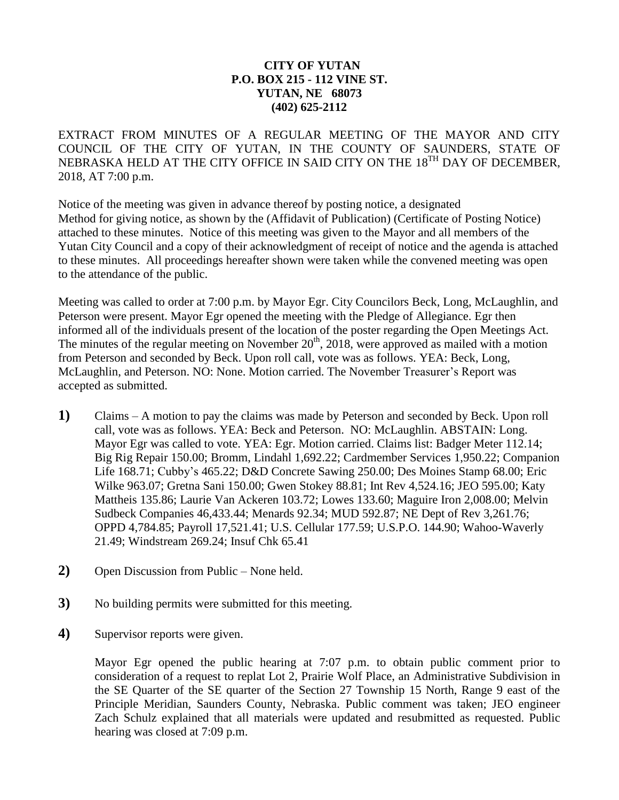## **CITY OF YUTAN P.O. BOX 215 - 112 VINE ST. YUTAN, NE 68073 (402) 625-2112**

EXTRACT FROM MINUTES OF A REGULAR MEETING OF THE MAYOR AND CITY COUNCIL OF THE CITY OF YUTAN, IN THE COUNTY OF SAUNDERS, STATE OF NEBRASKA HELD AT THE CITY OFFICE IN SAID CITY ON THE 18<sup>TH</sup> DAY OF DECEMBER, 2018, AT 7:00 p.m.

Notice of the meeting was given in advance thereof by posting notice, a designated Method for giving notice, as shown by the (Affidavit of Publication) (Certificate of Posting Notice) attached to these minutes. Notice of this meeting was given to the Mayor and all members of the Yutan City Council and a copy of their acknowledgment of receipt of notice and the agenda is attached to these minutes. All proceedings hereafter shown were taken while the convened meeting was open to the attendance of the public.

Meeting was called to order at 7:00 p.m. by Mayor Egr. City Councilors Beck, Long, McLaughlin, and Peterson were present. Mayor Egr opened the meeting with the Pledge of Allegiance. Egr then informed all of the individuals present of the location of the poster regarding the Open Meetings Act. The minutes of the regular meeting on November  $20<sup>th</sup>$ ,  $2018$ , were approved as mailed with a motion from Peterson and seconded by Beck. Upon roll call, vote was as follows. YEA: Beck, Long, McLaughlin, and Peterson. NO: None. Motion carried. The November Treasurer's Report was accepted as submitted.

- **1)** Claims A motion to pay the claims was made by Peterson and seconded by Beck. Upon roll call, vote was as follows. YEA: Beck and Peterson. NO: McLaughlin. ABSTAIN: Long. Mayor Egr was called to vote. YEA: Egr. Motion carried. Claims list: Badger Meter 112.14; Big Rig Repair 150.00; Bromm, Lindahl 1,692.22; Cardmember Services 1,950.22; Companion Life 168.71; Cubby's 465.22; D&D Concrete Sawing 250.00; Des Moines Stamp 68.00; Eric Wilke 963.07; Gretna Sani 150.00; Gwen Stokey 88.81; Int Rev 4,524.16; JEO 595.00; Katy Mattheis 135.86; Laurie Van Ackeren 103.72; Lowes 133.60; Maguire Iron 2,008.00; Melvin Sudbeck Companies 46,433.44; Menards 92.34; MUD 592.87; NE Dept of Rev 3,261.76; OPPD 4,784.85; Payroll 17,521.41; U.S. Cellular 177.59; U.S.P.O. 144.90; Wahoo-Waverly 21.49; Windstream 269.24; Insuf Chk 65.41
- **2)** Open Discussion from Public None held.
- **3)** No building permits were submitted for this meeting.
- **4)** Supervisor reports were given.

Mayor Egr opened the public hearing at 7:07 p.m. to obtain public comment prior to consideration of a request to replat Lot 2, Prairie Wolf Place, an Administrative Subdivision in the SE Quarter of the SE quarter of the Section 27 Township 15 North, Range 9 east of the Principle Meridian, Saunders County, Nebraska. Public comment was taken; JEO engineer Zach Schulz explained that all materials were updated and resubmitted as requested. Public hearing was closed at 7:09 p.m.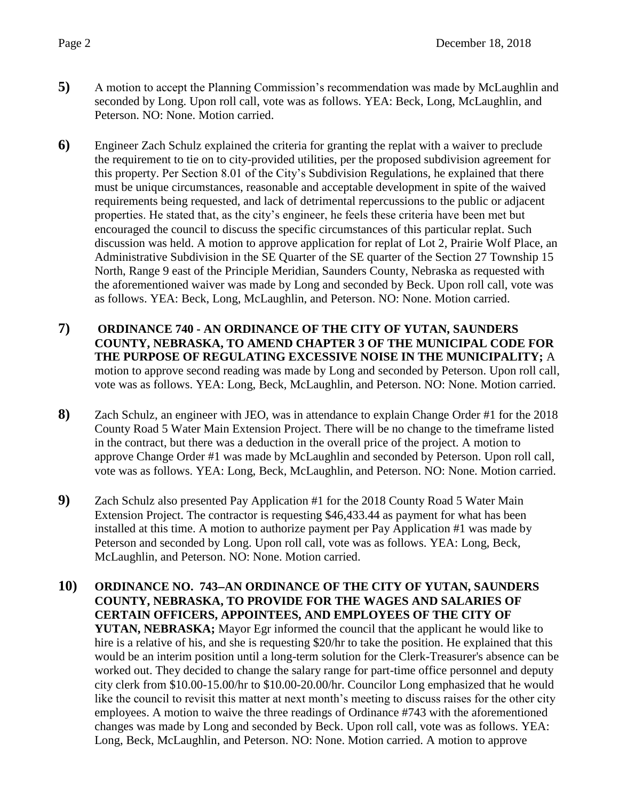- **5)** A motion to accept the Planning Commission's recommendation was made by McLaughlin and seconded by Long. Upon roll call, vote was as follows. YEA: Beck, Long, McLaughlin, and Peterson. NO: None. Motion carried.
- **6)** Engineer Zach Schulz explained the criteria for granting the replat with a waiver to preclude the requirement to tie on to city-provided utilities, per the proposed subdivision agreement for this property. Per Section 8.01 of the City's Subdivision Regulations, he explained that there must be unique circumstances, reasonable and acceptable development in spite of the waived requirements being requested, and lack of detrimental repercussions to the public or adjacent properties. He stated that, as the city's engineer, he feels these criteria have been met but encouraged the council to discuss the specific circumstances of this particular replat. Such discussion was held. A motion to approve application for replat of Lot 2, Prairie Wolf Place, an Administrative Subdivision in the SE Quarter of the SE quarter of the Section 27 Township 15 North, Range 9 east of the Principle Meridian, Saunders County, Nebraska as requested with the aforementioned waiver was made by Long and seconded by Beck. Upon roll call, vote was as follows. YEA: Beck, Long, McLaughlin, and Peterson. NO: None. Motion carried.
- **7) ORDINANCE 740 - AN ORDINANCE OF THE CITY OF YUTAN, SAUNDERS COUNTY, NEBRASKA, TO AMEND CHAPTER 3 OF THE MUNICIPAL CODE FOR THE PURPOSE OF REGULATING EXCESSIVE NOISE IN THE MUNICIPALITY;** A motion to approve second reading was made by Long and seconded by Peterson. Upon roll call, vote was as follows. YEA: Long, Beck, McLaughlin, and Peterson. NO: None. Motion carried.
- **8)** Zach Schulz, an engineer with JEO, was in attendance to explain Change Order #1 for the 2018 County Road 5 Water Main Extension Project. There will be no change to the timeframe listed in the contract, but there was a deduction in the overall price of the project. A motion to approve Change Order #1 was made by McLaughlin and seconded by Peterson. Upon roll call, vote was as follows. YEA: Long, Beck, McLaughlin, and Peterson. NO: None. Motion carried.
- **9)** Zach Schulz also presented Pay Application #1 for the 2018 County Road 5 Water Main Extension Project. The contractor is requesting \$46,433.44 as payment for what has been installed at this time. A motion to authorize payment per Pay Application #1 was made by Peterson and seconded by Long. Upon roll call, vote was as follows. YEA: Long, Beck, McLaughlin, and Peterson. NO: None. Motion carried.
- **10) ORDINANCE NO. 743AN ORDINANCE OF THE CITY OF YUTAN, SAUNDERS COUNTY, NEBRASKA, TO PROVIDE FOR THE WAGES AND SALARIES OF CERTAIN OFFICERS, APPOINTEES, AND EMPLOYEES OF THE CITY OF YUTAN, NEBRASKA;** Mayor Egr informed the council that the applicant he would like to hire is a relative of his, and she is requesting \$20/hr to take the position. He explained that this would be an interim position until a long-term solution for the Clerk-Treasurer's absence can be worked out. They decided to change the salary range for part-time office personnel and deputy city clerk from \$10.00-15.00/hr to \$10.00-20.00/hr. Councilor Long emphasized that he would like the council to revisit this matter at next month's meeting to discuss raises for the other city employees. A motion to waive the three readings of Ordinance #743 with the aforementioned changes was made by Long and seconded by Beck. Upon roll call, vote was as follows. YEA: Long, Beck, McLaughlin, and Peterson. NO: None. Motion carried. A motion to approve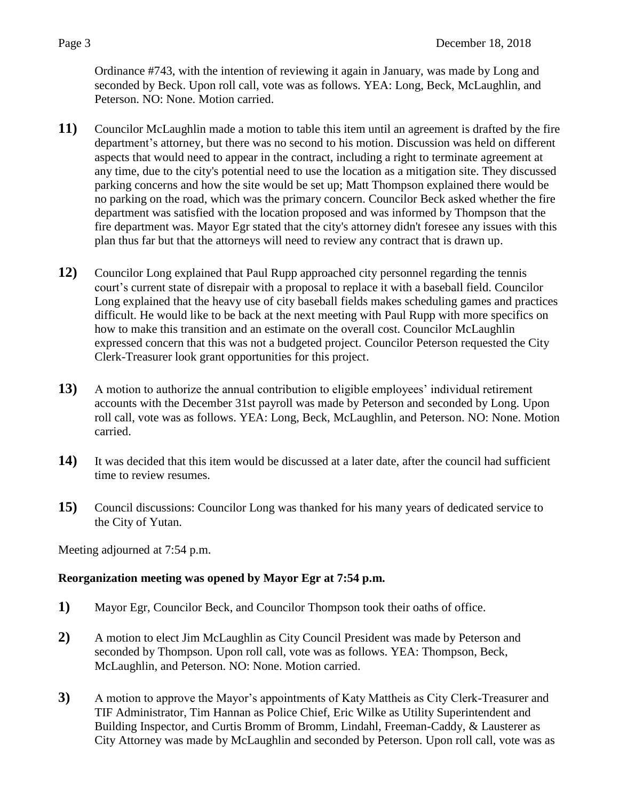Ordinance #743, with the intention of reviewing it again in January, was made by Long and seconded by Beck. Upon roll call, vote was as follows. YEA: Long, Beck, McLaughlin, and Peterson. NO: None. Motion carried.

- **11)** Councilor McLaughlin made a motion to table this item until an agreement is drafted by the fire department's attorney, but there was no second to his motion. Discussion was held on different aspects that would need to appear in the contract, including a right to terminate agreement at any time, due to the city's potential need to use the location as a mitigation site. They discussed parking concerns and how the site would be set up; Matt Thompson explained there would be no parking on the road, which was the primary concern. Councilor Beck asked whether the fire department was satisfied with the location proposed and was informed by Thompson that the fire department was. Mayor Egr stated that the city's attorney didn't foresee any issues with this plan thus far but that the attorneys will need to review any contract that is drawn up.
- **12)** Councilor Long explained that Paul Rupp approached city personnel regarding the tennis court's current state of disrepair with a proposal to replace it with a baseball field. Councilor Long explained that the heavy use of city baseball fields makes scheduling games and practices difficult. He would like to be back at the next meeting with Paul Rupp with more specifics on how to make this transition and an estimate on the overall cost. Councilor McLaughlin expressed concern that this was not a budgeted project. Councilor Peterson requested the City Clerk-Treasurer look grant opportunities for this project.
- **13)** A motion to authorize the annual contribution to eligible employees' individual retirement accounts with the December 31st payroll was made by Peterson and seconded by Long. Upon roll call, vote was as follows. YEA: Long, Beck, McLaughlin, and Peterson. NO: None. Motion carried.
- **14)** It was decided that this item would be discussed at a later date, after the council had sufficient time to review resumes.
- **15)** Council discussions: Councilor Long was thanked for his many years of dedicated service to the City of Yutan.

Meeting adjourned at 7:54 p.m.

## **Reorganization meeting was opened by Mayor Egr at 7:54 p.m.**

- **1)** Mayor Egr, Councilor Beck, and Councilor Thompson took their oaths of office.
- **2)** A motion to elect Jim McLaughlin as City Council President was made by Peterson and seconded by Thompson. Upon roll call, vote was as follows. YEA: Thompson, Beck, McLaughlin, and Peterson. NO: None. Motion carried.
- **3)** A motion to approve the Mayor's appointments of Katy Mattheis as City Clerk-Treasurer and TIF Administrator, Tim Hannan as Police Chief, Eric Wilke as Utility Superintendent and Building Inspector, and Curtis Bromm of Bromm, Lindahl, Freeman-Caddy, & Lausterer as City Attorney was made by McLaughlin and seconded by Peterson. Upon roll call, vote was as